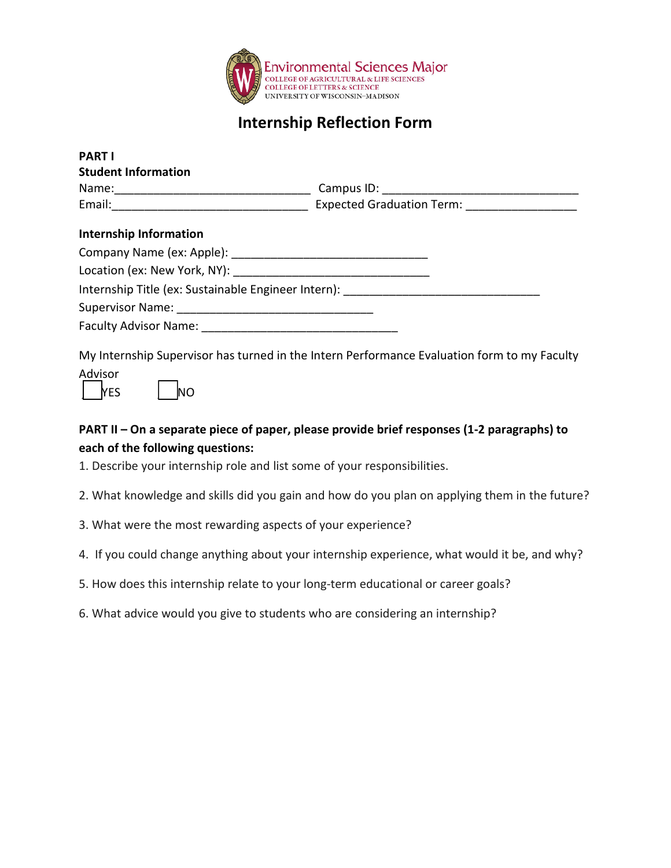

## **Internship Reflection Form**

| <b>Student Information</b>    |                                                                                  |
|-------------------------------|----------------------------------------------------------------------------------|
|                               |                                                                                  |
|                               |                                                                                  |
| <b>Internship Information</b> |                                                                                  |
|                               |                                                                                  |
|                               |                                                                                  |
|                               | Internship Title (ex: Sustainable Engineer Intern): ____________________________ |
|                               |                                                                                  |
|                               |                                                                                  |

My Internship Supervisor has turned in the Intern Performance Evaluation form to my Faculty Advisor





## **PART II – On a separate piece of paper, please provide brief responses (1-2 paragraphs) to each of the following questions:**

1. Describe your internship role and list some of your responsibilities.

2. What knowledge and skills did you gain and how do you plan on applying them in the future?

- 3. What were the most rewarding aspects of your experience?
- 4. If you could change anything about your internship experience, what would it be, and why?
- 5. How does this internship relate to your long-term educational or career goals?
- 6. What advice would you give to students who are considering an internship?